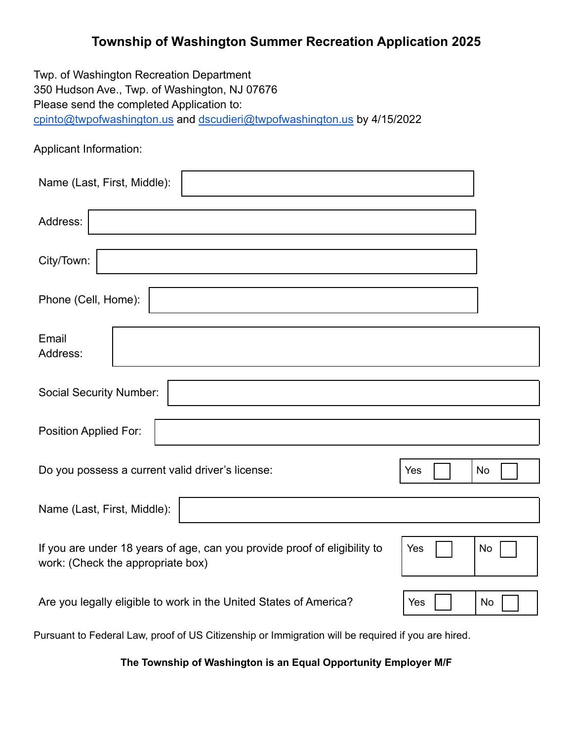## **Township of Washington Summer Recreation Application 2025**

Twp. of Washington Recreation Department 350 Hudson Ave., Twp. of Washington, NJ 07676 Please send the completed Application to: [cpinto@twpofwashington.us](mailto:cpinto@twpofwashington.us) and [dscudieri@twpofwashington.us](mailto:dscudieri@twpofwashington.us) by 4/15/2022

Applicant Information:

| Name (Last, First, Middle):                                                                                                 |  |
|-----------------------------------------------------------------------------------------------------------------------------|--|
| Address:                                                                                                                    |  |
| City/Town:                                                                                                                  |  |
| Phone (Cell, Home):                                                                                                         |  |
| Email<br>Address:                                                                                                           |  |
| <b>Social Security Number:</b>                                                                                              |  |
| Position Applied For:                                                                                                       |  |
| Do you possess a current valid driver's license:<br>No<br>Yes                                                               |  |
| Name (Last, First, Middle):                                                                                                 |  |
| If you are under 18 years of age, can you provide proof of eligibility to<br>Yes<br>No<br>work: (Check the appropriate box) |  |
| Are you legally eligible to work in the United States of America?<br>Yes<br>No                                              |  |

Pursuant to Federal Law, proof of US Citizenship or Immigration will be required if you are hired.

**The Township of Washington is an Equal Opportunity Employer M/F**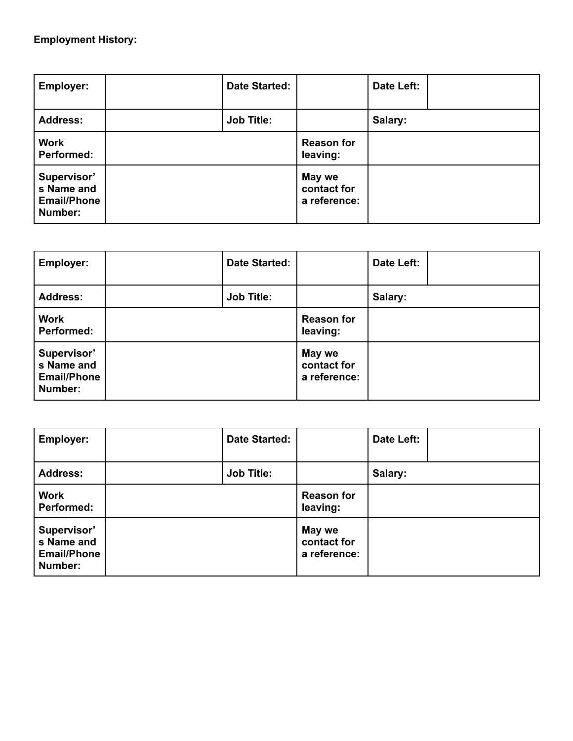## **Employment History:**

| <b>Employer:</b>                                           | <b>Date Started:</b> |                                       | Date Left: |  |
|------------------------------------------------------------|----------------------|---------------------------------------|------------|--|
| <b>Address:</b>                                            | <b>Job Title:</b>    |                                       | Salary:    |  |
| <b>Work</b><br><b>Performed:</b>                           |                      | <b>Reason for</b><br>leaving:         |            |  |
| Supervisor'<br>s Name and<br><b>Email/Phone</b><br>Number: |                      | May we<br>contact for<br>a reference: |            |  |

| Employer:                                                  | <b>Date Started:</b> |                                       | Date Left: |  |
|------------------------------------------------------------|----------------------|---------------------------------------|------------|--|
| <b>Address:</b>                                            | <b>Job Title:</b>    |                                       | Salary:    |  |
| <b>Work</b><br><b>Performed:</b>                           |                      | <b>Reason for</b><br>leaving:         |            |  |
| Supervisor'<br>s Name and<br><b>Email/Phone</b><br>Number: |                      | May we<br>contact for<br>a reference: |            |  |

| Employer:                                                  | <b>Date Started:</b> |                                       | Date Left: |  |
|------------------------------------------------------------|----------------------|---------------------------------------|------------|--|
| <b>Address:</b>                                            | <b>Job Title:</b>    |                                       | Salary:    |  |
| <b>Work</b><br><b>Performed:</b>                           |                      | <b>Reason for</b><br>leaving:         |            |  |
| Supervisor'<br>s Name and<br><b>Email/Phone</b><br>Number: |                      | May we<br>contact for<br>a reference: |            |  |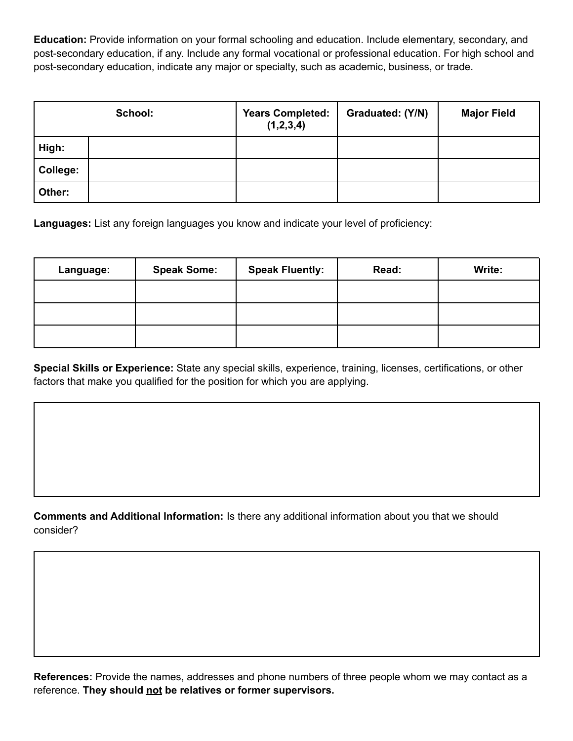**Education:** Provide information on your formal schooling and education. Include elementary, secondary, and post-secondary education, if any. Include any formal vocational or professional education. For high school and post-secondary education, indicate any major or specialty, such as academic, business, or trade.

|          | School: | <b>Years Completed:</b><br>(1,2,3,4) | Graduated: (Y/N) | <b>Major Field</b> |
|----------|---------|--------------------------------------|------------------|--------------------|
| High:    |         |                                      |                  |                    |
| College: |         |                                      |                  |                    |
| Other:   |         |                                      |                  |                    |

**Languages:** List any foreign languages you know and indicate your level of proficiency:

| Language: | <b>Speak Some:</b> | <b>Speak Fluently:</b> | Read: | Write: |
|-----------|--------------------|------------------------|-------|--------|
|           |                    |                        |       |        |
|           |                    |                        |       |        |
|           |                    |                        |       |        |

**Special Skills or Experience:** State any special skills, experience, training, licenses, certifications, or other factors that make you qualified for the position for which you are applying.

**Comments and Additional Information:** Is there any additional information about you that we should consider?

**References:** Provide the names, addresses and phone numbers of three people whom we may contact as a reference. **They should not be relatives or former supervisors.**